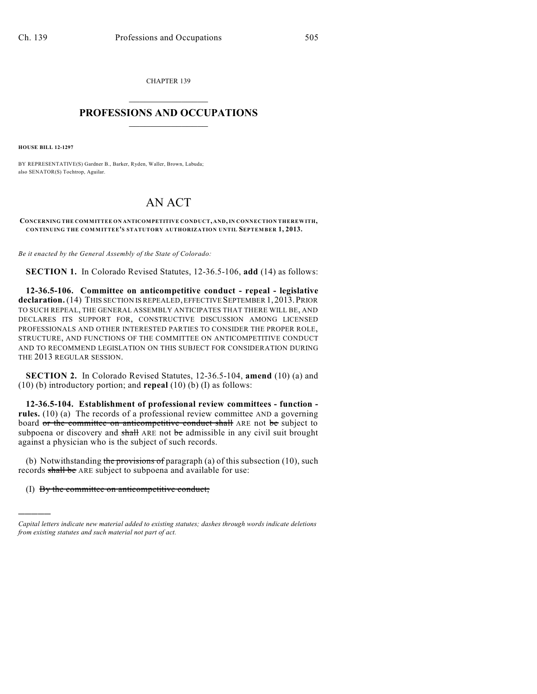CHAPTER 139  $\overline{\phantom{a}}$  . The set of the set of the set of the set of the set of the set of the set of the set of the set of the set of the set of the set of the set of the set of the set of the set of the set of the set of the set o

## **PROFESSIONS AND OCCUPATIONS**  $\frac{1}{2}$  ,  $\frac{1}{2}$  ,  $\frac{1}{2}$  ,  $\frac{1}{2}$  ,  $\frac{1}{2}$  ,  $\frac{1}{2}$

**HOUSE BILL 12-1297**

)))))

BY REPRESENTATIVE(S) Gardner B., Barker, Ryden, Waller, Brown, Labuda; also SENATOR(S) Tochtrop, Aguilar.

## AN ACT

**CONCERNING THE COMMITTEE ON ANTICOMPETITIVE CONDUCT, AND,IN CONNECTION THEREWITH, CONTINUING THE COMMITTEE'S STATUTORY AUTHORIZATION UNTIL SEPTEMBER 1, 2013.**

*Be it enacted by the General Assembly of the State of Colorado:*

**SECTION 1.** In Colorado Revised Statutes, 12-36.5-106, **add** (14) as follows:

**12-36.5-106. Committee on anticompetitive conduct - repeal - legislative declaration.** (14) THIS SECTION IS REPEALED, EFFECTIVE SEPTEMBER 1,2013.PRIOR TO SUCH REPEAL, THE GENERAL ASSEMBLY ANTICIPATES THAT THERE WILL BE, AND DECLARES ITS SUPPORT FOR, CONSTRUCTIVE DISCUSSION AMONG LICENSED PROFESSIONALS AND OTHER INTERESTED PARTIES TO CONSIDER THE PROPER ROLE, STRUCTURE, AND FUNCTIONS OF THE COMMITTEE ON ANTICOMPETITIVE CONDUCT AND TO RECOMMEND LEGISLATION ON THIS SUBJECT FOR CONSIDERATION DURING THE 2013 REGULAR SESSION.

**SECTION 2.** In Colorado Revised Statutes, 12-36.5-104, **amend** (10) (a) and (10) (b) introductory portion; and **repeal** (10) (b) (I) as follows:

**12-36.5-104. Establishment of professional review committees - function rules.** (10) (a) The records of a professional review committee AND a governing board or the committee on anticompetitive conduct shall ARE not be subject to subpoena or discovery and shall ARE not be admissible in any civil suit brought against a physician who is the subject of such records.

(b) Notwithstanding the provisions of paragraph (a) of this subsection (10), such records shall be ARE subject to subpoena and available for use:

(I) By the committee on anticompetitive conduct;

*Capital letters indicate new material added to existing statutes; dashes through words indicate deletions from existing statutes and such material not part of act.*